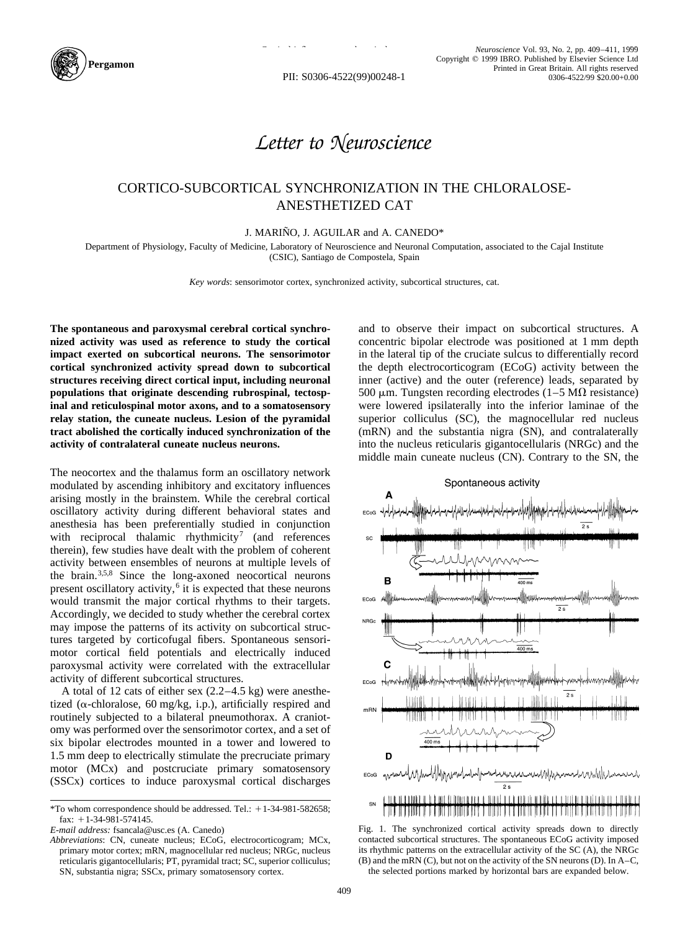

PII: S0306-4522(99)00248-1

## *Letter to Neuroscience*

## CORTICO-SUBCORTICAL SYNCHRONIZATION IN THE CHLORALOSE-ANESTHETIZED CAT

J. MARIÑO, J. AGUILAR and A. CANEDO\*

Department of Physiology, Faculty of Medicine, Laboratory of Neuroscience and Neuronal Computation, associated to the Cajal Institute (CSIC), Santiago de Compostela, Spain

*Key words*: sensorimotor cortex, synchronized activity, subcortical structures, cat.

**The spontaneous and paroxysmal cerebral cortical synchronized activity was used as reference to study the cortical impact exerted on subcortical neurons. The sensorimotor cortical synchronized activity spread down to subcortical structures receiving direct cortical input, including neuronal populations that originate descending rubrospinal, tectospinal and reticulospinal motor axons, and to a somatosensory relay station, the cuneate nucleus. Lesion of the pyramidal tract abolished the cortically induced synchronization of the activity of contralateral cuneate nucleus neurons.**

The neocortex and the thalamus form an oscillatory network modulated by ascending inhibitory and excitatory influences arising mostly in the brainstem. While the cerebral cortical oscillatory activity during different behavioral states and anesthesia has been preferentially studied in conjunction with reciprocal thalamic rhythmicity<sup>7</sup> (and references therein), few studies have dealt with the problem of coherent activity between ensembles of neurons at multiple levels of the brain.3,5,8 Since the long-axoned neocortical neurons present oscillatory activity, $6$  it is expected that these neurons would transmit the major cortical rhythms to their targets. Accordingly, we decided to study whether the cerebral cortex may impose the patterns of its activity on subcortical structures targeted by corticofugal fibers. Spontaneous sensorimotor cortical field potentials and electrically induced paroxysmal activity were correlated with the extracellular activity of different subcortical structures.

A total of 12 cats of either sex (2.2–4.5 kg) were anesthetized ( $\alpha$ -chloralose, 60 mg/kg, i.p.), artificially respired and routinely subjected to a bilateral pneumothorax. A craniotomy was performed over the sensorimotor cortex, and a set of six bipolar electrodes mounted in a tower and lowered to 1.5 mm deep to electrically stimulate the precruciate primary motor (MCx) and postcruciate primary somatosensory (SSCx) cortices to induce paroxysmal cortical discharges

and to observe their impact on subcortical structures. A concentric bipolar electrode was positioned at 1 mm depth in the lateral tip of the cruciate sulcus to differentially record the depth electrocorticogram (ECoG) activity between the inner (active) and the outer (reference) leads, separated by 500  $\mu$ m. Tungsten recording electrodes (1–5 M $\Omega$  resistance) were lowered ipsilaterally into the inferior laminae of the superior colliculus (SC), the magnocellular red nucleus (mRN) and the substantia nigra (SN), and contralaterally into the nucleus reticularis gigantocellularis (NRGc) and the middle main cuneate nucleus (CN). Contrary to the SN, the



Fig. 1. The synchronized cortical activity spreads down to directly contacted subcortical structures. The spontaneous ECoG activity imposed its rhythmic patterns on the extracellular activity of the SC (A), the NRGc  $(B)$  and the mRN  $(C)$ , but not on the activity of the SN neurons  $(D)$ . In A–C, the selected portions marked by horizontal bars are expanded below.

 $*$ To whom correspondence should be addressed. Tel.:  $+1-34-981-582658$ ; fax:  $+1-34-981-574145$ .

*E-mail address:* fsancala@usc.es (A. Canedo)

*Abbreviations*: CN, cuneate nucleus; ECoG, electrocorticogram; MCx, primary motor cortex; mRN, magnocellular red nucleus; NRGc, nucleus reticularis gigantocellularis; PT, pyramidal tract; SC, superior colliculus; SN, substantia nigra; SSCx, primary somatosensory cortex.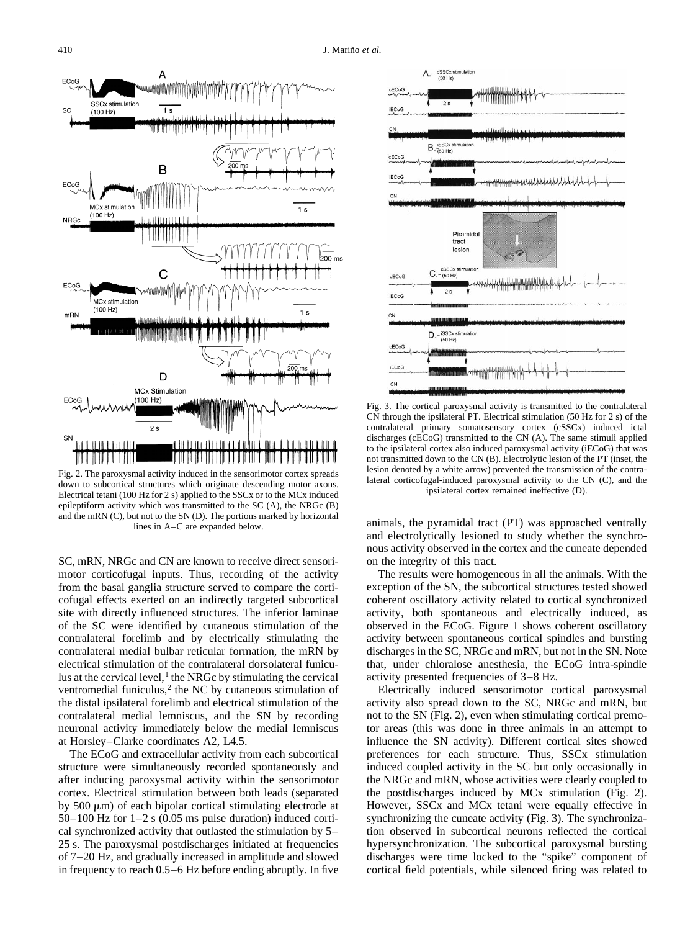

Fig. 2. The paroxysmal activity induced in the sensorimotor cortex spreads down to subcortical structures which originate descending motor axons. Electrical tetani (100 Hz for 2 s) applied to the SSCx or to the MCx induced epileptiform activity which was transmitted to the SC (A), the NRGc (B) and the mRN (C), but not to the SN (D). The portions marked by horizontal lines in A–C are expanded below.

SC, mRN, NRGc and CN are known to receive direct sensorimotor corticofugal inputs. Thus, recording of the activity from the basal ganglia structure served to compare the corticofugal effects exerted on an indirectly targeted subcortical site with directly influenced structures. The inferior laminae of the SC were identified by cutaneous stimulation of the contralateral forelimb and by electrically stimulating the contralateral medial bulbar reticular formation, the mRN by electrical stimulation of the contralateral dorsolateral funiculus at the cervical level, $<sup>1</sup>$  the NRGc by stimulating the cervical</sup> ventromedial funiculus, $<sup>2</sup>$  the NC by cutaneous stimulation of</sup> the distal ipsilateral forelimb and electrical stimulation of the contralateral medial lemniscus, and the SN by recording neuronal activity immediately below the medial lemniscus at Horsley–Clarke coordinates A2, L4.5.

The ECoG and extracellular activity from each subcortical structure were simultaneously recorded spontaneously and after inducing paroxysmal activity within the sensorimotor cortex. Electrical stimulation between both leads (separated by  $500 \mu m$ ) of each bipolar cortical stimulating electrode at  $50-100$  Hz for  $1-2$  s (0.05 ms pulse duration) induced cortical synchronized activity that outlasted the stimulation by 5– 25 s. The paroxysmal postdischarges initiated at frequencies of 7–20 Hz, and gradually increased in amplitude and slowed in frequency to reach 0.5–6 Hz before ending abruptly. In five



Fig. 3. The cortical paroxysmal activity is transmitted to the contralateral CN through the ipsilateral PT. Electrical stimulation (50 Hz for 2 s) of the contralateral primary somatosensory cortex (cSSCx) induced ictal discharges (cECoG) transmitted to the CN (A). The same stimuli applied to the ipsilateral cortex also induced paroxysmal activity (iECoG) that was not transmitted down to the CN (B). Electrolytic lesion of the PT (inset, the lesion denoted by a white arrow) prevented the transmission of the contralateral corticofugal-induced paroxysmal activity to the CN (C), and the ipsilateral cortex remained ineffective (D).

animals, the pyramidal tract (PT) was approached ventrally and electrolytically lesioned to study whether the synchronous activity observed in the cortex and the cuneate depended on the integrity of this tract.

The results were homogeneous in all the animals. With the exception of the SN, the subcortical structures tested showed coherent oscillatory activity related to cortical synchronized activity, both spontaneous and electrically induced, as observed in the ECoG. Figure 1 shows coherent oscillatory activity between spontaneous cortical spindles and bursting discharges in the SC, NRGc and mRN, but not in the SN. Note that, under chloralose anesthesia, the ECoG intra-spindle activity presented frequencies of 3–8 Hz.

Electrically induced sensorimotor cortical paroxysmal activity also spread down to the SC, NRGc and mRN, but not to the SN (Fig. 2), even when stimulating cortical premotor areas (this was done in three animals in an attempt to influence the SN activity). Different cortical sites showed preferences for each structure. Thus, SSCx stimulation induced coupled activity in the SC but only occasionally in the NRGc and mRN, whose activities were clearly coupled to the postdischarges induced by MCx stimulation (Fig. 2). However, SSCx and MCx tetani were equally effective in synchronizing the cuneate activity (Fig. 3). The synchronization observed in subcortical neurons reflected the cortical hypersynchronization. The subcortical paroxysmal bursting discharges were time locked to the "spike" component of cortical field potentials, while silenced firing was related to